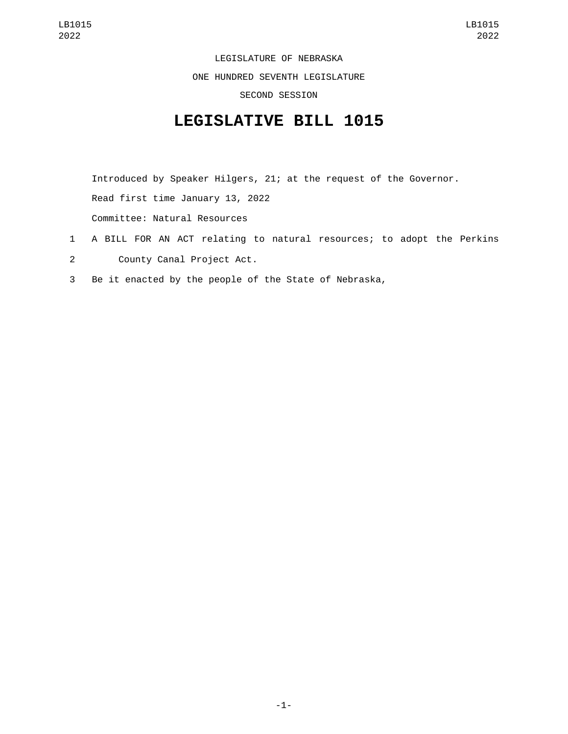LEGISLATURE OF NEBRASKA ONE HUNDRED SEVENTH LEGISLATURE SECOND SESSION

## **LEGISLATIVE BILL 1015**

Introduced by Speaker Hilgers, 21; at the request of the Governor. Read first time January 13, 2022 Committee: Natural Resources

- 1 A BILL FOR AN ACT relating to natural resources; to adopt the Perkins 2 County Canal Project Act.
- 3 Be it enacted by the people of the State of Nebraska,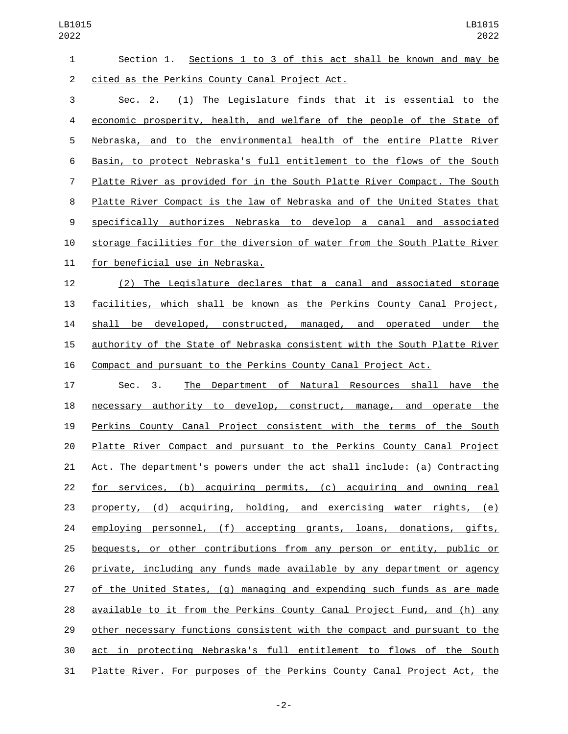| $\mathbf{1}$   | Section 1. Sections 1 to 3 of this act shall be known and may be          |
|----------------|---------------------------------------------------------------------------|
| $\overline{2}$ | cited as the Perkins County Canal Project Act.                            |
| 3              | (1) The Legislature finds that it is essential to the<br>Sec. 2.          |
| 4              | economic prosperity, health, and welfare of the people of the State of    |
| 5              | Nebraska, and to the environmental health of the entire Platte River      |
| 6              | Basin, to protect Nebraska's full entitlement to the flows of the South   |
| $\overline{7}$ | Platte River as provided for in the South Platte River Compact. The South |
| 8              | Platte River Compact is the law of Nebraska and of the United States that |
| 9              | specifically authorizes Nebraska to develop a canal and associated        |
| 10             | storage facilities for the diversion of water from the South Platte River |
| 11             | for beneficial use in Nebraska.                                           |
| 12             | (2) The Legislature declares that a canal and associated storage          |
| 13             | facilities, which shall be known as the Perkins County Canal Project,     |
| 14             | shall be developed, constructed, managed, and operated under the          |
| 15             | authority of the State of Nebraska consistent with the South Platte River |
| 16             | Compact and pursuant to the Perkins County Canal Project Act.             |
| 17             | The Department of Natural Resources shall have the<br>Sec. 3.             |
| 18             | necessary authority to develop, construct, manage, and operate the        |
| 19             | Perkins County Canal Project consistent with the terms of the South       |
| 20             | Platte River Compact and pursuant to the Perkins County Canal Project     |
| 21             | Act. The department's powers under the act shall include: (a) Contracting |
| 22             | for services, (b) acquiring permits, (c) acquiring and owning real        |
| 23             | property, (d) acquiring, holding, and exercising water rights, (e)        |
| 24             | employing personnel, (f) accepting grants, loans, donations, gifts,       |
| 25             | bequests, or other contributions from any person or entity, public or     |
| 26             | private, including any funds made available by any department or agency   |
| 27             | of the United States, (g) managing and expending such funds as are made   |
| 28             | available to it from the Perkins County Canal Project Fund, and (h) any   |
| 29             | other necessary functions consistent with the compact and pursuant to the |
| 30             | act in protecting Nebraska's full entitlement to flows of the South       |
| 31             | Platte River. For purposes of the Perkins County Canal Project Act, the   |